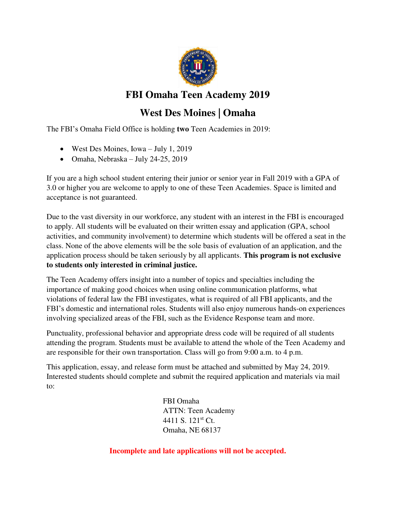

### **FBI Omaha Teen Academy 2019**

# **West Des Moines | Omaha**

The FBI's Omaha Field Office is holding **two** Teen Academies in 2019:

- West Des Moines, Iowa July 1, 2019
- $\bullet$  Omaha, Nebraska July 24-25, 2019

If you are a high school student entering their junior or senior year in Fall 2019 with a GPA of 3.0 or higher you are welcome to apply to one of these Teen Academies. Space is limited and acceptance is not guaranteed.

Due to the vast diversity in our workforce, any student with an interest in the FBI is encouraged to apply. All students will be evaluated on their written essay and application (GPA, school activities, and community involvement) to determine which students will be offered a seat in the class. None of the above elements will be the sole basis of evaluation of an application, and the application process should be taken seriously by all applicants. **This program is not exclusive to students only interested in criminal justice.** 

The Teen Academy offers insight into a number of topics and specialties including the importance of making good choices when using online communication platforms, what violations of federal law the FBI investigates, what is required of all FBI applicants, and the FBI's domestic and international roles. Students will also enjoy numerous hands-on experiences involving specialized areas of the FBI, such as the Evidence Response team and more.

Punctuality, professional behavior and appropriate dress code will be required of all students attending the program. Students must be available to attend the whole of the Teen Academy and are responsible for their own transportation. Class will go from 9:00 a.m. to 4 p.m.

This application, essay, and release form must be attached and submitted by May 24, 2019. Interested students should complete and submit the required application and materials via mail to:

> FBI Omaha ATTN: Teen Academy 4411 S. 121st Ct. Omaha, NE 68137

**Incomplete and late applications will not be accepted.**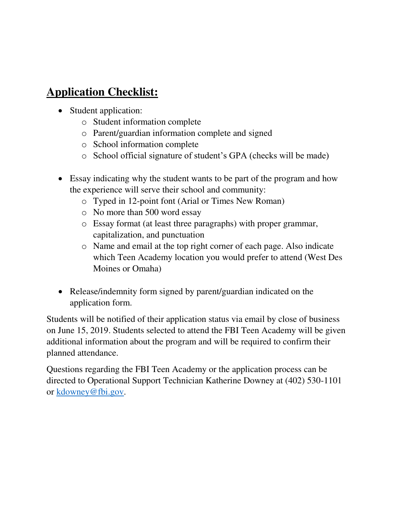# **Application Checklist:**

- Student application:
	- o Student information complete
	- o Parent/guardian information complete and signed
	- o School information complete
	- o School official signature of student's GPA (checks will be made)
- Essay indicating why the student wants to be part of the program and how the experience will serve their school and community:
	- o Typed in 12-point font (Arial or Times New Roman)
	- o No more than 500 word essay
	- o Essay format (at least three paragraphs) with proper grammar, capitalization, and punctuation
	- o Name and email at the top right corner of each page. Also indicate which Teen Academy location you would prefer to attend (West Des Moines or Omaha)
- Release/indemnity form signed by parent/guardian indicated on the application form.

Students will be notified of their application status via email by close of business on June 15, 2019. Students selected to attend the FBI Teen Academy will be given additional information about the program and will be required to confirm their planned attendance.

Questions regarding the FBI Teen Academy or the application process can be directed to Operational Support Technician Katherine Downey at (402) 530-1101 or [kdowney@fbi.gov.](mailto:kdowney@fbi.gov)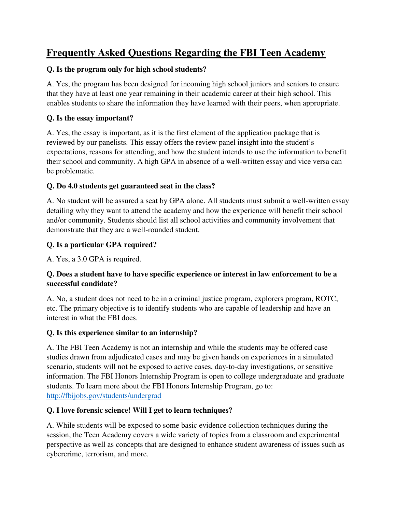## **Frequently Asked Questions Regarding the FBI Teen Academy**

#### **Q. Is the program only for high school students?**

A. Yes, the program has been designed for incoming high school juniors and seniors to ensure that they have at least one year remaining in their academic career at their high school. This enables students to share the information they have learned with their peers, when appropriate.

#### **Q. Is the essay important?**

A. Yes, the essay is important, as it is the first element of the application package that is reviewed by our panelists. This essay offers the review panel insight into the student's expectations, reasons for attending, and how the student intends to use the information to benefit their school and community. A high GPA in absence of a well-written essay and vice versa can be problematic.

#### **Q. Do 4.0 students get guaranteed seat in the class?**

A. No student will be assured a seat by GPA alone. All students must submit a well-written essay detailing why they want to attend the academy and how the experience will benefit their school and/or community. Students should list all school activities and community involvement that demonstrate that they are a well-rounded student.

#### **Q. Is a particular GPA required?**

A. Yes, a 3.0 GPA is required.

#### **Q. Does a student have to have specific experience or interest in law enforcement to be a successful candidate?**

A. No, a student does not need to be in a criminal justice program, explorers program, ROTC, etc. The primary objective is to identify students who are capable of leadership and have an interest in what the FBI does.

#### **Q. Is this experience similar to an internship?**

A. The FBI Teen Academy is not an internship and while the students may be offered case studies drawn from adjudicated cases and may be given hands on experiences in a simulated scenario, students will not be exposed to active cases, day-to-day investigations, or sensitive information. The FBI Honors Internship Program is open to college undergraduate and graduate students. To learn more about the FBI Honors Internship Program, go to: <http://fbijobs.gov/students/undergrad>

#### **Q. I love forensic science! Will I get to learn techniques?**

A. While students will be exposed to some basic evidence collection techniques during the session, the Teen Academy covers a wide variety of topics from a classroom and experimental perspective as well as concepts that are designed to enhance student awareness of issues such as cybercrime, terrorism, and more.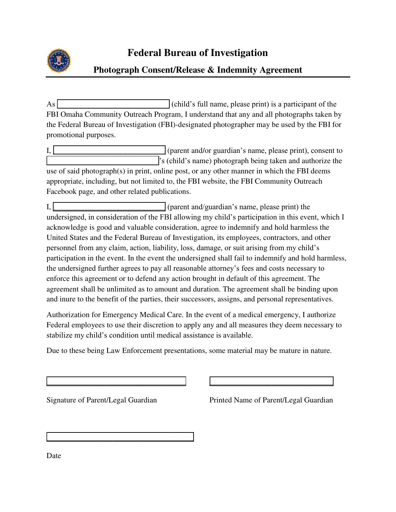

#### **Photograph Consent/Release & Indemnity Agreement**

As  $\Box$  (child's full name, please print) is a participant of the FBI Omaha Community Outreach Program, I understand that any and all photographs taken by the Federal Bureau of Investigation (FBI)-designated photographer may be used by the FBI for promotional purposes.

 $I, \boxed{\phantom{0}}$  (parent and/or guardian's name, please print), consent to  $\cdot$  s (child's name) photograph being taken and authorize the use of said photograph(s) in print, online post, or any other manner in which the FBI deems appropriate, including, but not limited to, the FBI website, the FBI Community Outreach Facebook page, and other related publications.

 $I,$   $\Box$   $\Box$  (parent and/guardian's name, please print) the undersigned, in consideration of the FBI allowing my child's participation in this event, which I acknowledge is good and valuable consideration, agree to indemnify and hold harmless the United States and the Federal Bureau of Investigation, its employees, contractors, and other personnel from any claim, action, liability, loss, damage, or suit arising from my child's participation in the event. In the event the undersigned shall fail to indemnify and hold harmless, the undersigned further agrees to pay all reasonable attorney's fees and costs necessary to enforce this agreement or to defend any action brought in default of this agreement. The agreement shall be unlimited as to amount and duration. The agreement shall be binding upon and inure to the benefit of the parties, their successors, assigns, and personal representatives.

Authorization for Emergency Medical Care. In the event of a medical emergency, I authorize Federal employees to use their discretion to apply any and all measures they deem necessary to stabilize my child's condition until medical assistance is available.

Due to these being Law Enforcement presentations, some material may be mature in nature.

\_\_\_\_\_\_\_\_\_\_\_\_\_\_\_\_\_\_\_\_\_\_\_\_\_\_\_\_\_\_\_\_\_\_\_\_ \_\_\_\_\_\_\_\_\_\_\_\_\_\_\_\_\_\_\_\_\_\_\_\_\_\_\_\_\_\_\_\_

 $\overline{\phantom{a}}$  ,  $\overline{\phantom{a}}$  ,  $\overline{\phantom{a}}$  ,  $\overline{\phantom{a}}$  ,  $\overline{\phantom{a}}$  ,  $\overline{\phantom{a}}$  ,  $\overline{\phantom{a}}$  ,  $\overline{\phantom{a}}$  ,  $\overline{\phantom{a}}$  ,  $\overline{\phantom{a}}$  ,  $\overline{\phantom{a}}$  ,  $\overline{\phantom{a}}$  ,  $\overline{\phantom{a}}$  ,  $\overline{\phantom{a}}$  ,  $\overline{\phantom{a}}$  ,  $\overline{\phantom{a}}$ 

Signature of Parent/Legal Guardian Printed Name of Parent/Legal Guardian

Date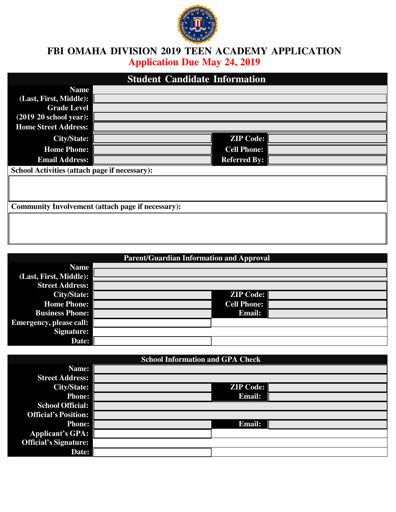

### **FBI OMAHA DIVISION 2019 TEEN ACADEMY APPLICATION Application Due May 24, 2019**

| <b>Student Candidate Information</b>                     |  |                     |  |  |
|----------------------------------------------------------|--|---------------------|--|--|
| <b>Name</b>                                              |  |                     |  |  |
| (Last, First, Middle):                                   |  |                     |  |  |
| <b>Grade Level</b>                                       |  |                     |  |  |
| $(2019 20$ school year):                                 |  |                     |  |  |
| <b>Home Street Address:</b>                              |  |                     |  |  |
| <b>City/State:</b>                                       |  | <b>ZIP Code:</b>    |  |  |
| <b>Home Phone:</b>                                       |  | <b>Cell Phone:</b>  |  |  |
| <b>Email Address:</b>                                    |  | <b>Referred By:</b> |  |  |
| School Activities (attach page if necessary):            |  |                     |  |  |
|                                                          |  |                     |  |  |
|                                                          |  |                     |  |  |
| <b>Community Involvement (attach page if necessary):</b> |  |                     |  |  |
|                                                          |  |                     |  |  |
|                                                          |  |                     |  |  |

| <b>Parent/Guardian Information and Approval</b> |  |                    |  |  |
|-------------------------------------------------|--|--------------------|--|--|
| <b>Name</b>                                     |  |                    |  |  |
| (Last, First, Middle):                          |  |                    |  |  |
| <b>Street Address:</b>                          |  |                    |  |  |
| <b>City/State:</b>                              |  | <b>ZIP Code:</b>   |  |  |
| <b>Home Phone:</b>                              |  | <b>Cell Phone:</b> |  |  |
| <b>Business Phone:</b>                          |  | <b>Email:</b>      |  |  |
| <b>Emergency, please call:</b>                  |  |                    |  |  |
| Signature:                                      |  |                    |  |  |
| Date:                                           |  |                    |  |  |

| <b>School Information and GPA Check</b> |  |                  |  |  |
|-----------------------------------------|--|------------------|--|--|
| Name:                                   |  |                  |  |  |
| <b>Street Address:</b>                  |  |                  |  |  |
| <b>City/State:</b>                      |  | <b>ZIP Code:</b> |  |  |
| <b>Phone:</b>                           |  | <b>Email:</b>    |  |  |
| <b>School Official:</b>                 |  |                  |  |  |
| <b>Official's Position:</b>             |  |                  |  |  |
| <b>Phone:</b>                           |  | <b>Email:</b>    |  |  |
| Applicant's GPA:                        |  |                  |  |  |
| <b>Official's Signature:</b>            |  |                  |  |  |
| Date:                                   |  |                  |  |  |